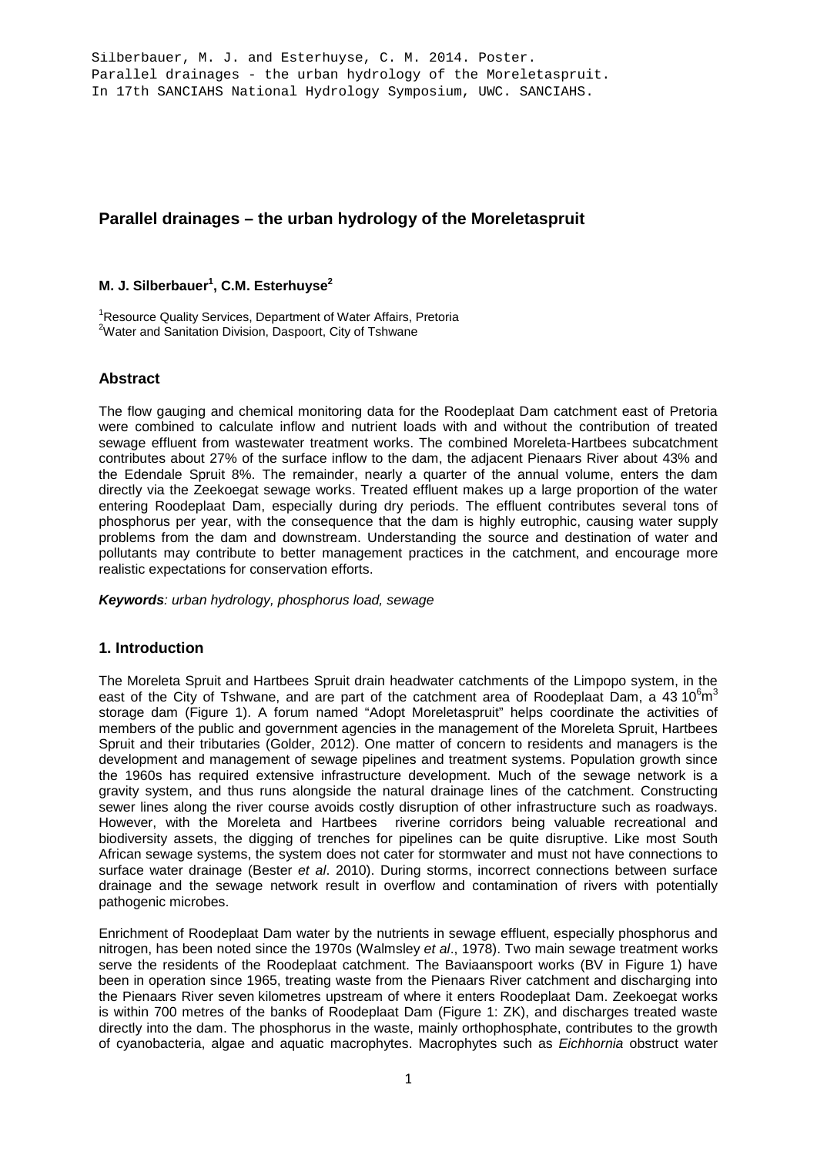Silberbauer, M. J. and Esterhuyse, C. M. 2014. Poster. Parallel drainages - the urban hydrology of the Moreletaspruit. In 17th SANCIAHS National Hydrology Symposium, UWC. SANCIAHS.

# **Parallel drainages – the urban hydrology of the Moreletaspruit**

# **M. J. Silberbauer<sup>1</sup> , C.M. Esterhuyse2**

<sup>1</sup>Resource Quality Services, Department of Water Affairs, Pretoria <sup>2</sup>Water and Sanitation Division, Daspoort, City of Tshwane

## **Abstract**

The flow gauging and chemical monitoring data for the Roodeplaat Dam catchment east of Pretoria were combined to calculate inflow and nutrient loads with and without the contribution of treated sewage effluent from wastewater treatment works. The combined Moreleta-Hartbees subcatchment contributes about 27% of the surface inflow to the dam, the adjacent Pienaars River about 43% and the Edendale Spruit 8%. The remainder, nearly a quarter of the annual volume, enters the dam directly via the Zeekoegat sewage works. Treated effluent makes up a large proportion of the water entering Roodeplaat Dam, especially during dry periods. The effluent contributes several tons of phosphorus per year, with the consequence that the dam is highly eutrophic, causing water supply problems from the dam and downstream. Understanding the source and destination of water and pollutants may contribute to better management practices in the catchment, and encourage more realistic expectations for conservation efforts.

*Keywords: urban hydrology, phosphorus load, sewage*

## **1. Introduction**

The Moreleta Spruit and Hartbees Spruit drain headwater catchments of the Limpopo system, in the east of the City of Tshwane, and are part of the catchment area of Roodeplaat Dam, a 43 10 $^6$ m $^3$ storage dam (Figure 1). A forum named "Adopt Moreletaspruit" helps coordinate the activities of members of the public and government agencies in the management of the Moreleta Spruit, Hartbees Spruit and their tributaries (Golder, 2012). One matter of concern to residents and managers is the development and management of sewage pipelines and treatment systems. Population growth since the 1960s has required extensive infrastructure development. Much of the sewage network is a gravity system, and thus runs alongside the natural drainage lines of the catchment. Constructing sewer lines along the river course avoids costly disruption of other infrastructure such as roadways. However, with the Moreleta and Hartbees riverine corridors being valuable recreational and biodiversity assets, the digging of trenches for pipelines can be quite disruptive. Like most South African sewage systems, the system does not cater for stormwater and must not have connections to surface water drainage (Bester *et al*. 2010). During storms, incorrect connections between surface drainage and the sewage network result in overflow and contamination of rivers with potentially pathogenic microbes.

Enrichment of Roodeplaat Dam water by the nutrients in sewage effluent, especially phosphorus and nitrogen, has been noted since the 1970s (Walmsley *et al*., 1978). Two main sewage treatment works serve the residents of the Roodeplaat catchment. The Baviaanspoort works (BV in Figure 1) have been in operation since 1965, treating waste from the Pienaars River catchment and discharging into the Pienaars River seven kilometres upstream of where it enters Roodeplaat Dam. Zeekoegat works is within 700 metres of the banks of Roodeplaat Dam (Figure 1: ZK), and discharges treated waste directly into the dam. The phosphorus in the waste, mainly orthophosphate, contributes to the growth of cyanobacteria, algae and aquatic macrophytes. Macrophytes such as *Eichhornia* obstruct water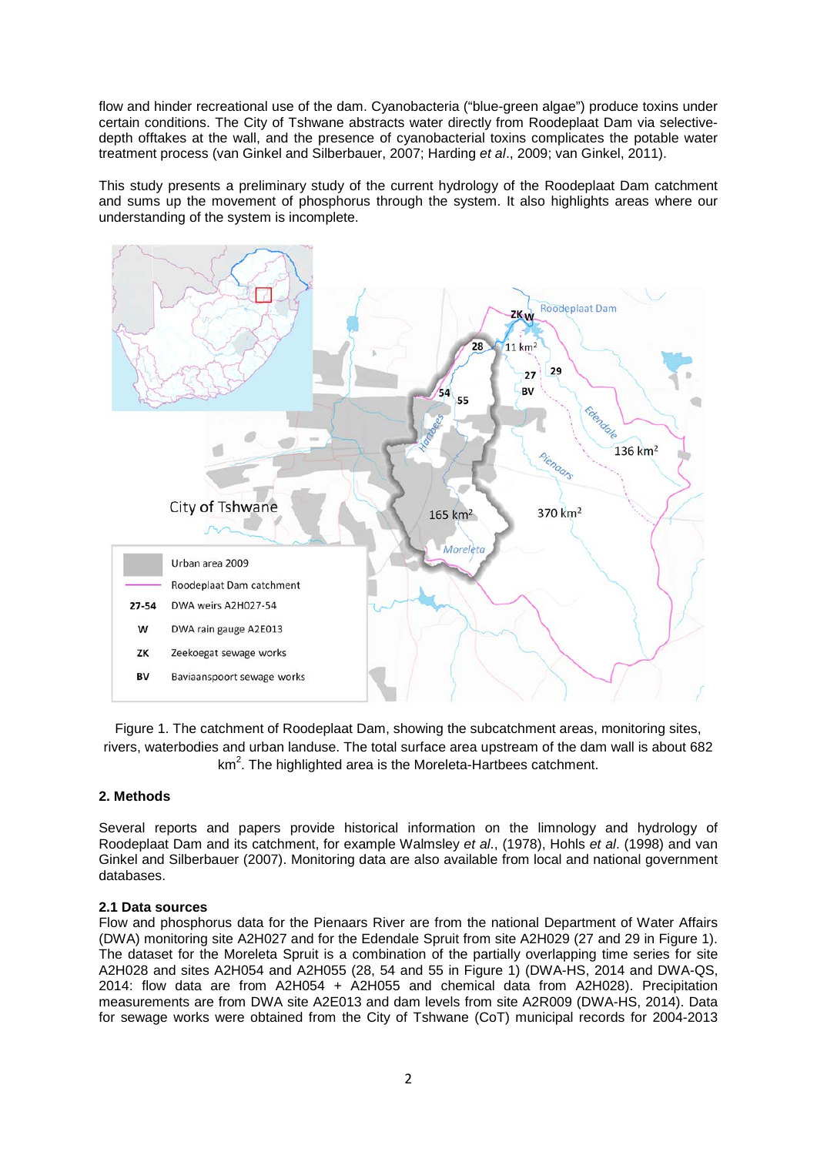flow and hinder recreational use of the dam. Cyanobacteria ("blue-green algae") produce toxins under certain conditions. The City of Tshwane abstracts water directly from Roodeplaat Dam via selectivedepth offtakes at the wall, and the presence of cyanobacterial toxins complicates the potable water treatment process (van Ginkel and Silberbauer, 2007; Harding *et al*., 2009; van Ginkel, 2011).

This study presents a preliminary study of the current hydrology of the Roodeplaat Dam catchment and sums up the movement of phosphorus through the system. It also highlights areas where our understanding of the system is incomplete.



Figure 1. The catchment of Roodeplaat Dam, showing the subcatchment areas, monitoring sites, rivers, waterbodies and urban landuse. The total surface area upstream of the dam wall is about 682 km<sup>2</sup>. The highlighted area is the Moreleta-Hartbees catchment.

#### **2. Methods**

Several reports and papers provide historical information on the limnology and hydrology of Roodeplaat Dam and its catchment, for example Walmsley *et al*., (1978), Hohls *et al*. (1998) and van Ginkel and Silberbauer (2007). Monitoring data are also available from local and national government databases.

#### **2.1 Data sources**

Flow and phosphorus data for the Pienaars River are from the national Department of Water Affairs (DWA) monitoring site A2H027 and for the Edendale Spruit from site A2H029 (27 and 29 in Figure 1). The dataset for the Moreleta Spruit is a combination of the partially overlapping time series for site A2H028 and sites A2H054 and A2H055 (28, 54 and 55 in Figure 1) (DWA-HS, 2014 and DWA-QS, 2014: flow data are from A2H054 + A2H055 and chemical data from A2H028). Precipitation measurements are from DWA site A2E013 and dam levels from site A2R009 (DWA-HS, 2014). Data for sewage works were obtained from the City of Tshwane (CoT) municipal records for 2004-2013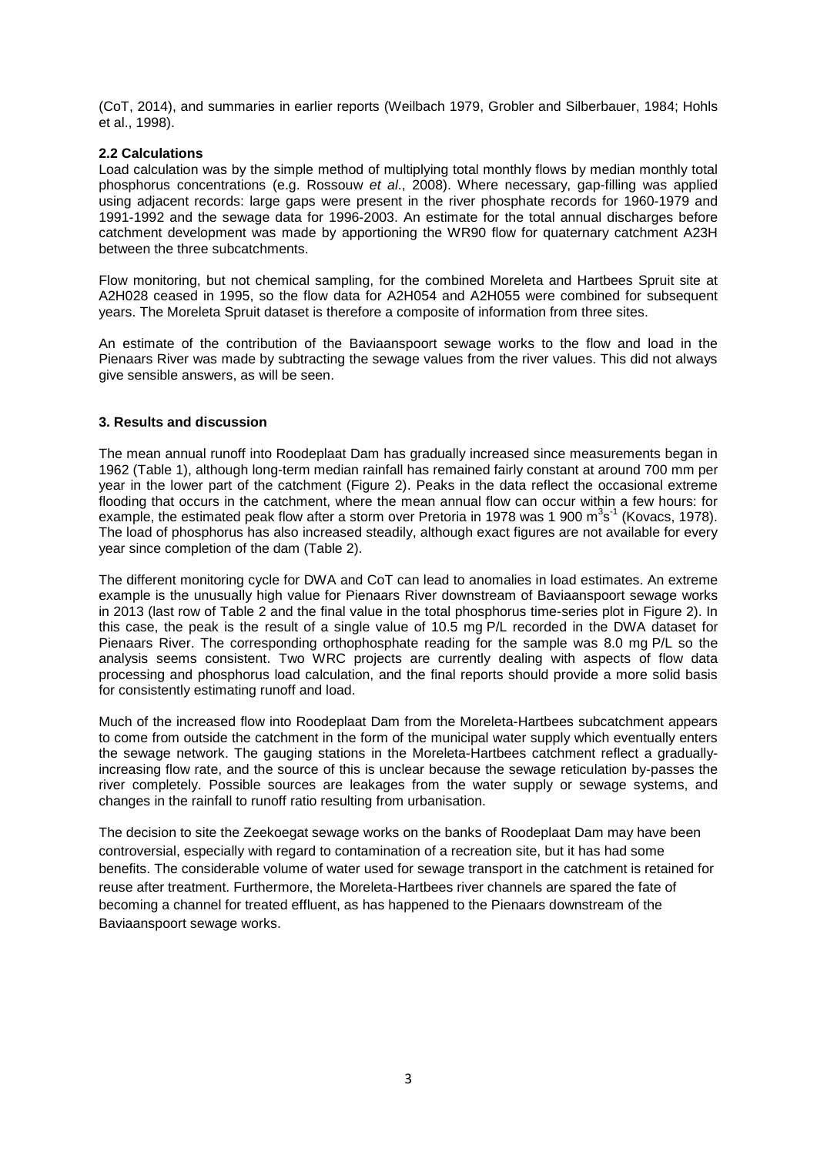(CoT, 2014), and summaries in earlier reports (Weilbach 1979, Grobler and Silberbauer, 1984; Hohls et al., 1998).

#### **2.2 Calculations**

Load calculation was by the simple method of multiplying total monthly flows by median monthly total phosphorus concentrations (e.g. Rossouw *et al*., 2008). Where necessary, gap-filling was applied using adjacent records: large gaps were present in the river phosphate records for 1960-1979 and 1991-1992 and the sewage data for 1996-2003. An estimate for the total annual discharges before catchment development was made by apportioning the WR90 flow for quaternary catchment A23H between the three subcatchments.

Flow monitoring, but not chemical sampling, for the combined Moreleta and Hartbees Spruit site at A2H028 ceased in 1995, so the flow data for A2H054 and A2H055 were combined for subsequent years. The Moreleta Spruit dataset is therefore a composite of information from three sites.

An estimate of the contribution of the Baviaanspoort sewage works to the flow and load in the Pienaars River was made by subtracting the sewage values from the river values. This did not always give sensible answers, as will be seen.

#### **3. Results and discussion**

The mean annual runoff into Roodeplaat Dam has gradually increased since measurements began in 1962 (Table 1), although long-term median rainfall has remained fairly constant at around 700 mm per year in the lower part of the catchment (Figure 2). Peaks in the data reflect the occasional extreme flooding that occurs in the catchment, where the mean annual flow can occur within a few hours: for example, the estimated peak flow after a storm over Pretoria in 1978 was 1 900 m<sup>3</sup>s<sup>-1</sup> (Kovacs, 1978). The load of phosphorus has also increased steadily, although exact figures are not available for every year since completion of the dam (Table 2).

The different monitoring cycle for DWA and CoT can lead to anomalies in load estimates. An extreme example is the unusually high value for Pienaars River downstream of Baviaanspoort sewage works in 2013 (last row of Table 2 and the final value in the total phosphorus time-series plot in Figure 2). In this case, the peak is the result of a single value of 10.5 mg P/L recorded in the DWA dataset for Pienaars River. The corresponding orthophosphate reading for the sample was 8.0 mg P/L so the analysis seems consistent. Two WRC projects are currently dealing with aspects of flow data processing and phosphorus load calculation, and the final reports should provide a more solid basis for consistently estimating runoff and load.

Much of the increased flow into Roodeplaat Dam from the Moreleta-Hartbees subcatchment appears to come from outside the catchment in the form of the municipal water supply which eventually enters the sewage network. The gauging stations in the Moreleta-Hartbees catchment reflect a graduallyincreasing flow rate, and the source of this is unclear because the sewage reticulation by-passes the river completely. Possible sources are leakages from the water supply or sewage systems, and changes in the rainfall to runoff ratio resulting from urbanisation.

The decision to site the Zeekoegat sewage works on the banks of Roodeplaat Dam may have been controversial, especially with regard to contamination of a recreation site, but it has had some benefits. The considerable volume of water used for sewage transport in the catchment is retained for reuse after treatment. Furthermore, the Moreleta-Hartbees river channels are spared the fate of becoming a channel for treated effluent, as has happened to the Pienaars downstream of the Baviaanspoort sewage works.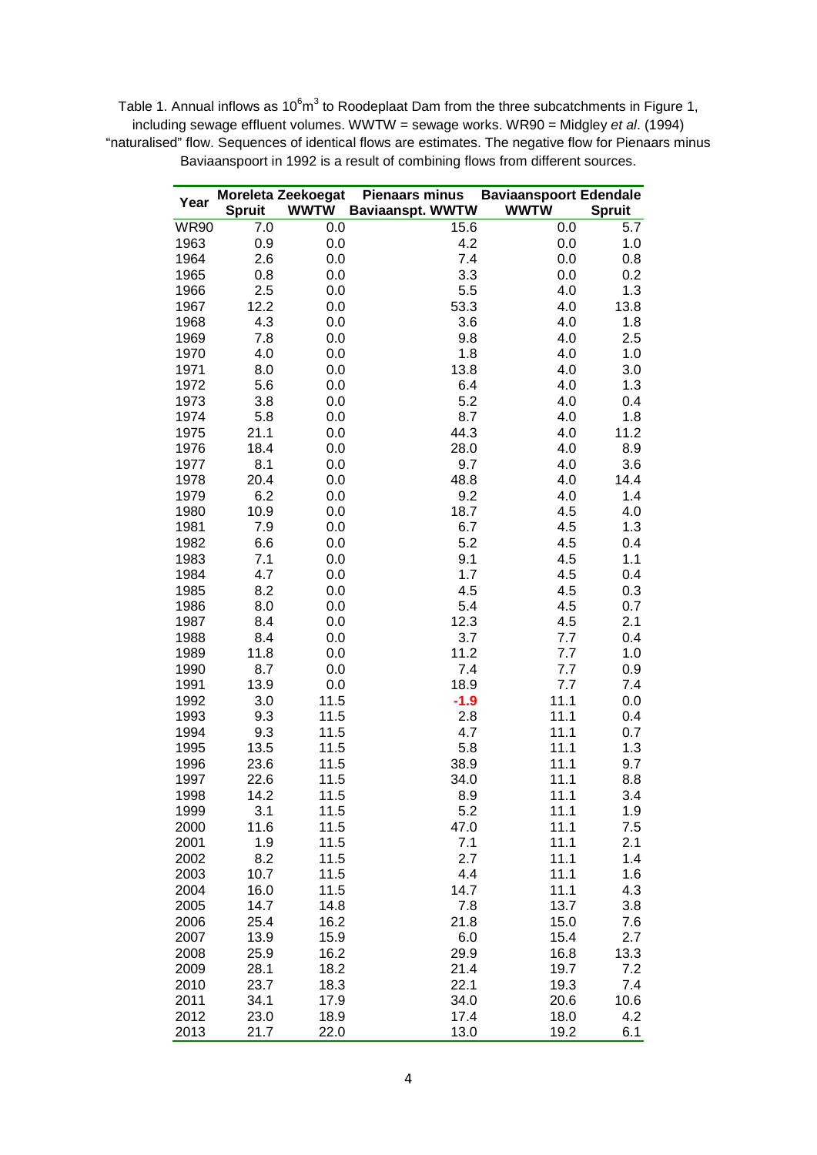Table 1. Annual inflows as 10 $6m^3$  to Roodeplaat Dam from the three subcatchments in Figure 1, including sewage effluent volumes. WWTW = sewage works. WR90 = Midgley *et al*. (1994) "naturalised" flow. Sequences of identical flows are estimates. The negative flow for Pienaars minus Baviaanspoort in 1992 is a result of combining flows from different sources.

|              |               | Moreleta Zeekoegat | <b>Pienaars minus</b>   | <b>Baviaanspoort Edendale</b> |               |
|--------------|---------------|--------------------|-------------------------|-------------------------------|---------------|
| Year         | <b>Spruit</b> | <b>WWTW</b>        | <b>Baviaanspt. WWTW</b> | <b>WWTW</b>                   | <b>Spruit</b> |
| <b>WR90</b>  | 7.0           | 0.0                | 15.6                    | 0.0                           | 5.7           |
| 1963         | 0.9           | 0.0                | 4.2                     | 0.0                           | 1.0           |
| 1964         | 2.6           | 0.0                | 7.4                     | 0.0                           | 0.8           |
| 1965         | 0.8           | 0.0                | 3.3                     | 0.0                           | 0.2           |
| 1966         | 2.5           | 0.0                | 5.5                     | 4.0                           | 1.3           |
| 1967         | 12.2          | 0.0                | 53.3                    | 4.0                           | 13.8          |
| 1968         | 4.3           | 0.0                | 3.6                     | 4.0                           | 1.8           |
| 1969         | 7.8           | 0.0                | 9.8                     | 4.0                           | 2.5           |
| 1970         | 4.0           | 0.0                | 1.8                     | 4.0                           | 1.0           |
| 1971         | 8.0           | 0.0                | 13.8                    | 4.0                           | 3.0           |
| 1972         | 5.6           | 0.0                | 6.4                     | 4.0                           | 1.3           |
| 1973         | 3.8           | 0.0                | 5.2                     | 4.0                           | 0.4           |
| 1974         | 5.8           | 0.0                | 8.7                     | 4.0                           | 1.8           |
| 1975         | 21.1          | 0.0                | 44.3                    | 4.0                           | 11.2          |
| 1976<br>1977 | 18.4<br>8.1   | 0.0<br>0.0         | 28.0<br>9.7             | 4.0<br>4.0                    | 8.9<br>3.6    |
| 1978         | 20.4          | 0.0                | 48.8                    | 4.0                           | 14.4          |
| 1979         | 6.2           | 0.0                | 9.2                     | 4.0                           | 1.4           |
| 1980         | 10.9          | 0.0                | 18.7                    | 4.5                           | 4.0           |
| 1981         | 7.9           | 0.0                | 6.7                     | 4.5                           | 1.3           |
| 1982         | 6.6           | 0.0                | 5.2                     | 4.5                           | 0.4           |
| 1983         | 7.1           | 0.0                | 9.1                     | 4.5                           | 1.1           |
| 1984         | 4.7           | 0.0                | 1.7                     | 4.5                           | 0.4           |
| 1985         | 8.2           | 0.0                | 4.5                     | 4.5                           | 0.3           |
| 1986         | 8.0           | 0.0                | 5.4                     | 4.5                           | 0.7           |
| 1987         | 8.4           | 0.0                | 12.3                    | 4.5                           | 2.1           |
| 1988         | 8.4           | 0.0                | 3.7                     | 7.7                           | 0.4           |
| 1989         | 11.8          | 0.0                | 11.2                    | 7.7                           | 1.0           |
| 1990         | 8.7           | 0.0                | 7.4                     | 7.7                           | 0.9           |
| 1991         | 13.9          | 0.0                | 18.9                    | 7.7                           | 7.4           |
| 1992         | 3.0           | 11.5               | $-1.9$                  | 11.1                          | 0.0           |
| 1993         | 9.3           | 11.5               | 2.8                     | 11.1                          | 0.4           |
| 1994         | 9.3           | 11.5               | 4.7                     | 11.1                          | 0.7           |
| 1995         | 13.5          | 11.5               | 5.8                     | 11.1                          | 1.3           |
| 1996         | 23.6          | 11.5               | 38.9                    | 11.1                          | 9.7           |
| 1997         | 22.6          | 11.5               | 34.0                    | 11.1                          | 8.8           |
| 1998         | 14.2          | 11.5               | 8.9                     | 11.1                          | 3.4           |
| 1999         | 3.1           | 11.5               | 5.2                     | 11.1                          | 1.9           |
| 2000         | 11.6          | 11.5               | 47.0                    | 11.1                          | 7.5           |
| 2001         | 1.9           | 11.5               | 7.1                     | 11.1                          | 2.1           |
| 2002         | 8.2           | 11.5               | 2.7                     | 11.1                          | 1.4           |
| 2003         | 10.7          | 11.5               | 4.4                     | 11.1                          | 1.6           |
| 2004         | 16.0          | 11.5               | 14.7                    | 11.1                          | 4.3           |
| 2005         | 14.7          | 14.8               | 7.8                     | 13.7                          | 3.8           |
| 2006         | 25.4          | 16.2               | 21.8                    | 15.0                          | 7.6           |
| 2007         | 13.9          | 15.9               | 6.0                     | 15.4                          | 2.7           |
| 2008         | 25.9          | 16.2               | 29.9                    | 16.8                          | 13.3          |
| 2009         | 28.1          | 18.2               | 21.4                    | 19.7                          | 7.2           |
| 2010         | 23.7<br>34.1  | 18.3               | 22.1<br>34.0            | 19.3                          | 7.4           |
| 2011<br>2012 | 23.0          | 17.9<br>18.9       | 17.4                    | 20.6<br>18.0                  | 10.6<br>4.2   |
| 2013         | 21.7          | 22.0               | 13.0                    | 19.2                          | 6.1           |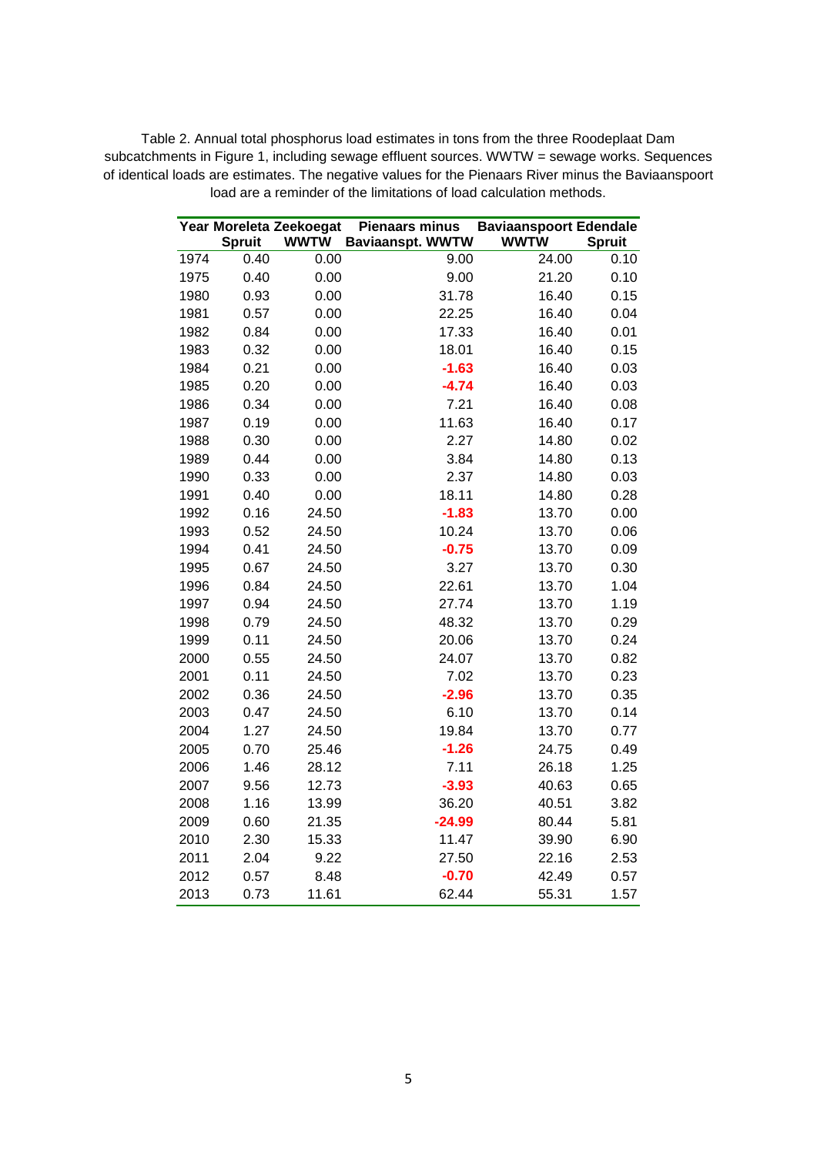Table 2. Annual total phosphorus load estimates in tons from the three Roodeplaat Dam subcatchments in Figure 1, including sewage effluent sources. WWTW = sewage works. Sequences of identical loads are estimates. The negative values for the Pienaars River minus the Baviaanspoort load are a reminder of the limitations of load calculation methods.

|      |               | Year Moreleta Zeekoegat | <b>Pienaars minus</b>   | <b>Baviaanspoort Edendale</b> |               |
|------|---------------|-------------------------|-------------------------|-------------------------------|---------------|
|      | <b>Spruit</b> | <b>WWTW</b>             | <b>Baviaanspt. WWTW</b> | <b>WWTW</b>                   | <b>Spruit</b> |
| 1974 | 0.40          | 0.00                    | 9.00                    | 24.00                         | 0.10          |
| 1975 | 0.40          | 0.00                    | 9.00                    | 21.20                         | 0.10          |
| 1980 | 0.93          | 0.00                    | 31.78                   | 16.40                         | 0.15          |
| 1981 | 0.57          | 0.00                    | 22.25                   | 16.40                         | 0.04          |
| 1982 | 0.84          | 0.00                    | 17.33                   | 16.40                         | 0.01          |
| 1983 | 0.32          | 0.00                    | 18.01                   | 16.40                         | 0.15          |
| 1984 | 0.21          | 0.00                    | $-1.63$                 | 16.40                         | 0.03          |
| 1985 | 0.20          | 0.00                    | $-4.74$                 | 16.40                         | 0.03          |
| 1986 | 0.34          | 0.00                    | 7.21                    | 16.40                         | 0.08          |
| 1987 | 0.19          | 0.00                    | 11.63                   | 16.40                         | 0.17          |
| 1988 | 0.30          | 0.00                    | 2.27                    | 14.80                         | 0.02          |
| 1989 | 0.44          | 0.00                    | 3.84                    | 14.80                         | 0.13          |
| 1990 | 0.33          | 0.00                    | 2.37                    | 14.80                         | 0.03          |
| 1991 | 0.40          | 0.00                    | 18.11                   | 14.80                         | 0.28          |
| 1992 | 0.16          | 24.50                   | $-1.83$                 | 13.70                         | 0.00          |
| 1993 | 0.52          | 24.50                   | 10.24                   | 13.70                         | 0.06          |
| 1994 | 0.41          | 24.50                   | $-0.75$                 | 13.70                         | 0.09          |
| 1995 | 0.67          | 24.50                   | 3.27                    | 13.70                         | 0.30          |
| 1996 | 0.84          | 24.50                   | 22.61                   | 13.70                         | 1.04          |
| 1997 | 0.94          | 24.50                   | 27.74                   | 13.70                         | 1.19          |
| 1998 | 0.79          | 24.50                   | 48.32                   | 13.70                         | 0.29          |
| 1999 | 0.11          | 24.50                   | 20.06                   | 13.70                         | 0.24          |
| 2000 | 0.55          | 24.50                   | 24.07                   | 13.70                         | 0.82          |
| 2001 | 0.11          | 24.50                   | 7.02                    | 13.70                         | 0.23          |
| 2002 | 0.36          | 24.50                   | $-2.96$                 | 13.70                         | 0.35          |
| 2003 | 0.47          | 24.50                   | 6.10                    | 13.70                         | 0.14          |
| 2004 | 1.27          | 24.50                   | 19.84                   | 13.70                         | 0.77          |
| 2005 | 0.70          | 25.46                   | $-1.26$                 | 24.75                         | 0.49          |
| 2006 | 1.46          | 28.12                   | 7.11                    | 26.18                         | 1.25          |
| 2007 | 9.56          | 12.73                   | $-3.93$                 | 40.63                         | 0.65          |
| 2008 | 1.16          | 13.99                   | 36.20                   | 40.51                         | 3.82          |
| 2009 | 0.60          | 21.35                   | $-24.99$                | 80.44                         | 5.81          |
| 2010 | 2.30          | 15.33                   | 11.47                   | 39.90                         | 6.90          |
| 2011 | 2.04          | 9.22                    | 27.50                   | 22.16                         | 2.53          |
| 2012 | 0.57          | 8.48                    | $-0.70$                 | 42.49                         | 0.57          |
| 2013 | 0.73          | 11.61                   | 62.44                   | 55.31                         | 1.57          |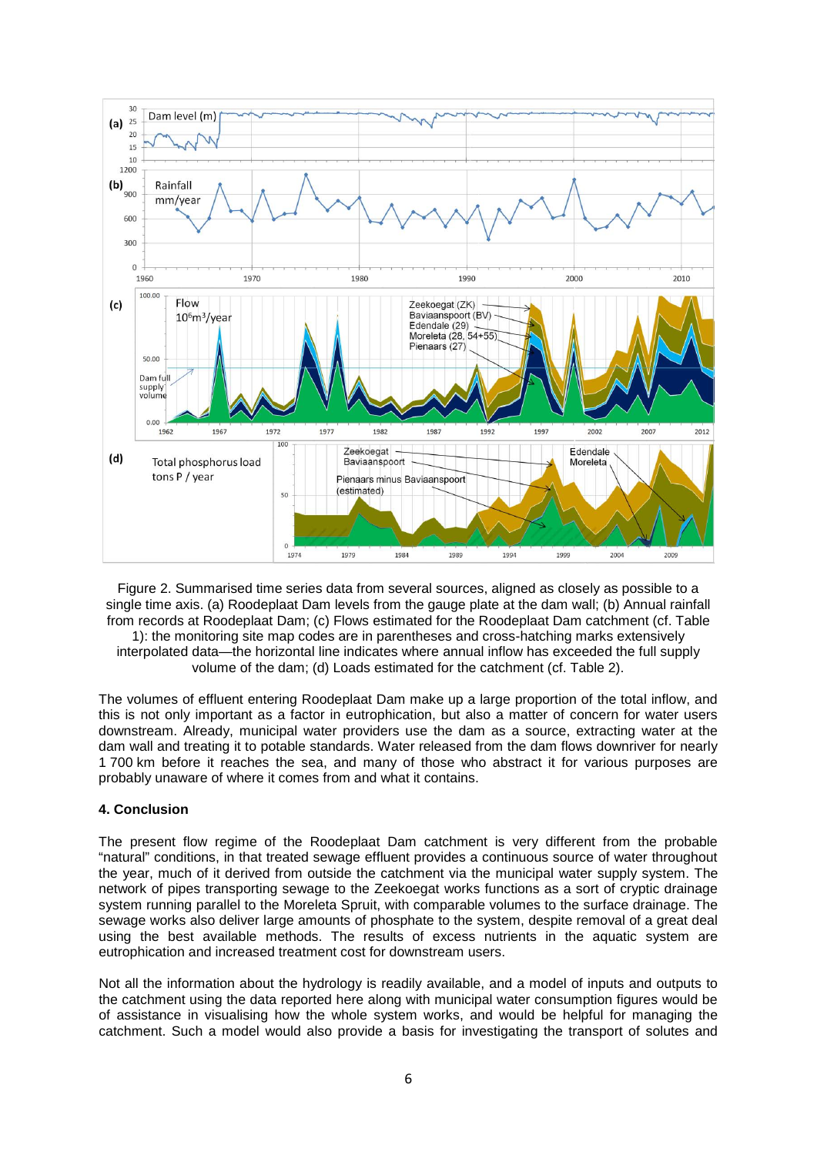

Figure 2. Summarised time series data from several sources, aligned as closely as possible to a single time axis. (a) Roodeplaat Dam levels from the gauge plate at the dam wall; (b) Annual rainfall from records at Roodeplaat Dam; (c) Flows estimated for the Roodeplaat Dam catchment (cf. Table 1): the monitoring site map codes are in parentheses and cross-hatching marks extensively interpolated data—the horizontal line indicates where annual inflow has exceeded the full supply volume of the dam; (d) Loads estimated for the catchment (cf. Table 2).

The volumes of effluent entering Roodeplaat Dam make up a large proportion of the total inflow, and this is not only important as a factor in eutrophication, but also a matter of concern for water users downstream. Already, municipal water providers use the dam as a source, extracting water at the dam wall and treating it to potable standards. Water released from the dam flows downriver for nearly 1 700 km before it reaches the sea, and many of those who abstract it for various purposes are probably unaware of where it comes from and what it contains.

#### **4. Conclusion**

The present flow regime of the Roodeplaat Dam catchment is very different from the probable "natural" conditions, in that treated sewage effluent provides a continuous source of water throughout the year, much of it derived from outside the catchment via the municipal water supply system. The network of pipes transporting sewage to the Zeekoegat works functions as a sort of cryptic drainage system running parallel to the Moreleta Spruit, with comparable volumes to the surface drainage. The sewage works also deliver large amounts of phosphate to the system, despite removal of a great deal using the best available methods. The results of excess nutrients in the aquatic system are eutrophication and increased treatment cost for downstream users.

Not all the information about the hydrology is readily available, and a model of inputs and outputs to the catchment using the data reported here along with municipal water consumption figures would be of assistance in visualising how the whole system works, and would be helpful for managing the catchment. Such a model would also provide a basis for investigating the transport of solutes and